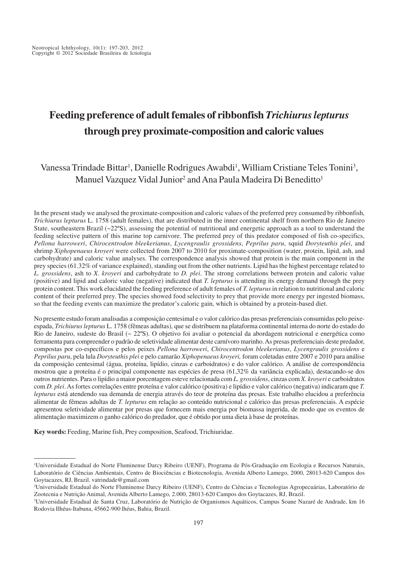# **Feeding preference of adult females of ribbonfish** *Trichiurus lepturus* **through prey proximate-composition and caloric values**

# Vanessa Trindade Bittar<sup>1</sup>, Danielle Rodrigues Awabdi<sup>1</sup>, William Cristiane Teles Tonini<sup>3</sup>, Manuel Vazquez Vidal Junior<sup>2</sup> and Ana Paula Madeira Di Beneditto<sup>1</sup>

In the present study we analysed the proximate-composition and caloric values of the preferred prey consumed by ribbonfish, *Trichiurus lepturus* L. 1758 (adult females), that are distributed in the inner continental shelf from northern Rio de Janeiro State, southeastern Brazil ( $\sim$ 22 $\degree$ S), assessing the potential of nutritional and energetic approach as a tool to understand the feeding selective pattern of this marine top carnivore. The preferred prey of this predator composed of fish co-specifics, *Pellona harroweri*, *Chirocentrodon bleekerianus*, *Lycengraulis grossidens*, *Peprilus paru*, squid *Doryteuthis plei*, and shrimp *Xiphopenaeus kroyeri* were collected from 2007 to 2010 for proximate-composition (water, protein, lipid, ash, and carbohydrate) and caloric value analyses. The correspondence analysis showed that protein is the main component in the prey species (61.32% of variance explained), standing out from the other nutrients. Lipid has the highest percentage related to *L. grossidens*, ash to *X. kroyeri* and carbohydrate to *D. plei*. The strong correlations between protein and caloric value (positive) and lipid and caloric value (negative) indicated that *T. lepturus* is attending its energy demand through the prey protein content. This work elucidated the feeding preference of adult females of *T. lepturus* in relation to nutritional and caloric content of their preferred prey. The species showed food selectivity to prey that provide more energy per ingested biomass, so that the feeding events can maximize the predator's caloric gain, which is obtained by a protein-based diet.

No presente estudo foram analisadas a composição centesimal e o valor calórico das presas preferenciais consumidas pelo peixeespada, *Trichiurus lepturus* L. 1758 (fêmeas adultas), que se distribuem na plataforma continental interna do norte do estado do Rio de Janeiro, sudeste do Brasil (~ 22ºS). O objetivo foi avaliar o potencial da abordagem nutricional e energética como ferramenta para compreender o padrão de seletividade alimentar deste carnívoro marinho. As presas preferenciais deste predador, compostas por co-específicos e pelos peixes *Pellona harroweri*, *Chirocentrodon bleekerianus*, *Lycengraulis grossidens* e *Peprilus paru*, pela lula *Doryteuthis plei* e pelo camarão *Xiphopenaeus kroyeri,* foram coletadas entre 2007 e 2010 para análise da composição centesimal (água, proteína, lipídio, cinzas e carboidratos) e do valor calórico. A análise de correspondência mostrou que a proteína é o principal componente nas espécies de presa (61,32% da variância explicada), destacando-se dos outros nutrientes. Para o lipídio a maior porcentagem esteve relacionada com *L. grossidens*, cinzas com *X. kroyeri* e carboidratos com *D. plei*. As fortes correlações entre proteína e valor calórico (positiva) e lipídio e valor calórico (negativa) indicaram que *T. lepturus* está atendendo sua demanda de energia através do teor de proteína das presas. Este trabalho elucidou a preferência alimentar de fêmeas adultas de *T. lepturus* em relação ao conteúdo nutricional e calórico das presas preferenciais. A espécie apresentou seletividade alimentar por presas que fornecem mais energia por biomassa ingerida, de modo que os eventos de alimentação maximizem o ganho calórico do predador, que é obtido por uma dieta à base de proteínas.

**Key words:** Feeding, Marine fish, Prey composition, Seafood, Trichiuridae.

<sup>1</sup> Universidade Estadual do Norte Fluminense Darcy Ribeiro (UENF), Programa de Pós-Graduação em Ecologia e Recursos Naturais, Laboratório de Ciências Ambientais, Centro de Biociências e Biotecnologia, Avenida Alberto Lamego, 2000, 28013-620 Campos dos Goytacazes, RJ, Brazil. vatrindade@gmail.com

<sup>2</sup> Universidade Estadual do Norte Fluminense Darcy Ribeiro (UENF), Centro de Ciências e Tecnologias Agropecuárias, Laboratório de Zootecnia e Nutrição Animal, Avenida Alberto Lamego, 2.000, 28013-620 Campos dos Goytacazes, RJ, Brazil.

<sup>3</sup> Universidade Estadual de Santa Cruz, Laboratório de Nutrição de Organismos Aquáticos, Campus Soane Nazaré de Andrade, km 16 Rodovia Ilhéus-Itabuna, 45662-900 lhéus, Bahia, Brazil.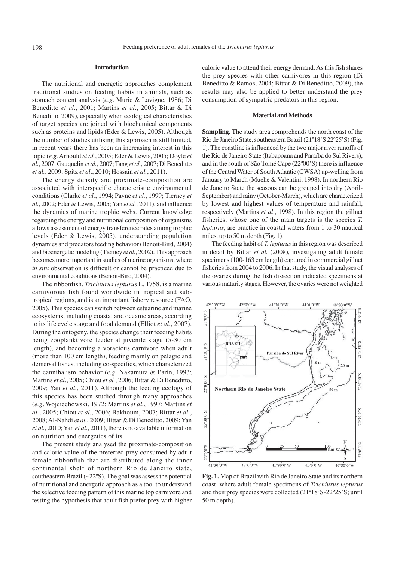## **Introduction**

The nutritional and energetic approaches complement traditional studies on feeding habits in animals, such as stomach content analysis (*e.g*. Murie & Lavigne, 1986; Di Beneditto *et al.*, 2001; Martins *et al*., 2005; Bittar & Di Beneditto, 2009), especially when ecological characteristics of target species are joined with biochemical components such as proteins and lipids (Eder & Lewis, 2005). Although the number of studies utilising this approach is still limited, in recent years there has been an increasing interest in this topic (*e.g.* Arnould *et al.*, 2005; Eder & Lewis, 2005; Doyle *et al.*, 2007; Gauquelin *et al.*, 2007; Tang *et al.*, 2007; Di Beneditto *et al.*, 2009; Spitz *et al*., 2010; Hossain *et al.*, 2011).

The energy density and proximate-composition are associated with interspecific characteristic environmental conditions (Clarke *et al.*, 1994; Payne *et al.*, 1999; Tierney *et al.*, 2002; Eder & Lewis, 2005; Yan *et al.*, 2011), and influence the dynamics of marine trophic webs. Current knowledge regarding the energy and nutritional composition of organisms allows assessment of energy transference rates among trophic levels (Eder & Lewis, 2005), understanding population dynamics and predators feeding behavior (Benoit-Bird, 2004) and bioenergetic modeling (Tierney *et al.*, 2002). This approach becomes more important in studies of marine organisms, where *in situ* observation is difficult or cannot be practiced due to environmental conditions (Benoit-Bird, 2004).

The ribbonfish, *Trichiurus lepturus* L. 1758, is a marine carnivorous fish found worldwide in tropical and subtropical regions, and is an important fishery resource (FAO, 2005). This species can switch between estuarine and marine ecosystems, including coastal and oceanic areas, according to its life cycle stage and food demand (Elliot *et al.*, 2007). During the ontogeny, the species change their feeding habits being zooplanktivore feeder at juvenile stage (5-30 cm length), and becoming a voracious carnivore when adult (more than 100 cm length), feeding mainly on pelagic and demersal fishes, including co-specifics, which characterized the cannibalism behavior (*e.g.* Nakamura & Parin, 1993; Martins *et al*., 2005; Chiou *et al.*, 2006; Bittar & Di Beneditto, 2009; Yan *et al.*, 2011). Although the feeding ecology of this species has been studied through many approaches (*e.g*. Wojciechowski, 1972; Martins *et al.*, 1997; Martins *et al.*, 2005; Chiou *et al.*, 2006; Bakhoum, 2007; Bittar *et al.*, 2008; Al-Nahdi *et al.*, 2009; Bittar & Di Beneditto, 2009; Yan *et al.*, 2010; Yan *et al.*, 2011), there is no available information on nutrition and energetics of its.

The present study analysed the proximate-composition and caloric value of the preferred prey consumed by adult female ribbonfish that are distributed along the inner continental shelf of northern Rio de Janeiro state, southeastern Brazil (~22ºS). The goal was assess the potential of nutritional and energetic approach as a tool to understand the selective feeding pattern of this marine top carnivore and testing the hypothesis that adult fish prefer prey with higher caloric value to attend their energy demand. As this fish shares the prey species with other carnivores in this region (Di Beneditto & Ramos, 2004; Bittar & Di Beneditto, 2009), the results may also be applied to better understand the prey consumption of sympatric predators in this region.

# **Material and Methods**

**Sampling.** The study area comprehends the north coast of the Rio de Janeiro State, southeastern Brazil (21º18'S 22º25'S) (Fig. 1). The coastline is influenced by the two major river runoffs of the Rio de Janeiro State (Itabapoana and Paraíba do Sul Rivers), and in the south of São Tomé Cape (22º00'S) there is influence of the Central Water of South Atlantic (CWSA) up-welling from January to March (Muehe & Valentini, 1998). In northern Rio de Janeiro State the seasons can be grouped into dry (April-September) and rainy (October-March), which are characterized by lowest and highest values of temperature and rainfall, respectively (Martins *et al*., 1998). In this region the gillnet fisheries, whose one of the main targets is the species *T. lepturus*, are practice in coastal waters from 1 to 30 nautical miles, up to 50 m depth (Fig. 1).

The feeding habit of *T. lepturus* in this region was described in detail by Bittar *et al.* (2008), investigating adult female specimens (100-163 cm length) captured in commercial gillnet fisheries from 2004 to 2006. In that study, the visual analyses of the ovaries during the fish dissection indicated specimens at various maturity stages. However, the ovaries were not weighted



**Fig. 1.** Map of Brazil with Rio de Janeiro State and its northern coast, where adult female specimens of *Trichiurus lepturus* and their prey species were collected (21º18'S-22º25'S; until 50 m depth).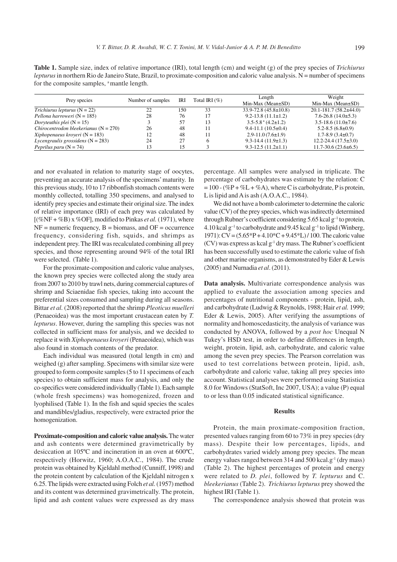**Table 1.** Sample size, index of relative importance (IRI), total length (cm) and weight (g) of the prey species of *Trichiurus lepturus* in northern Rio de Janeiro State, Brazil, to proximate-composition and caloric value analysis. N = number of specimens for the composite samples, <sup>a</sup> mantle length.

| Prey species                            | Number of samples | IRI | Total IRI $(\% )$ | Length<br>Min-Max (Mean $\pm$ SD)        | Weight<br>$Min-Max$ (Mean $\pm SD$ ) |
|-----------------------------------------|-------------------|-----|-------------------|------------------------------------------|--------------------------------------|
| <i>Trichiurus lepturus</i> $(N = 22)$   | 22                | 150 | 33                | $33.9 - 72.8$ (45.8±10.8)                | $20.1 - 181.7(58.2 \pm 44.0)$        |
| Pellona harroweri ( $N = 185$ )         | 28                | 76  | 17                | $9.2 - 13.8(11.1 \pm 1.2)$               | $7.6 - 26.8$ (14.0 $\pm$ 5.3)        |
| Doryteuthis plei $(N = 15)$             |                   | 57  | 13                | $3.5 - 5.8$ <sup>a</sup> $(4.2 \pm 1.2)$ | $3.5 - 18.6$ (11.0±7.6)              |
| Chirocentrodon bleekerianus $(N = 270)$ | 26                | 48  |                   | $9.4 - 11.1(10.5 \pm 0.4)$               | $5.2 - 8.5(6.8 \pm 0.9)$             |
| Xiphopenaeus kroyeri ( $N = 183$ )      | 12                | 48  |                   | $2.9 - 11.0(7.6 \pm 1.9)$                | $1.7 - 8.9(3.4 \pm 0.7)$             |
| Lycengraulis grossidens $(N = 283)$     | 24                | 27  |                   | $9.3 - 14.4(11.9 \pm 1.3)$               | $12.2 - 24.4(17.5 \pm 3.0)$          |
| <i>Peprilus paru</i> $(N = 74)$         | 13                | 15  |                   | $9.3 - 12.5(11.2 \pm 1.1)$               | $11.7 - 30.6(23.6 \pm 6.5)$          |

and nor evaluated in relation to maturity stage of oocytes, preventing an accurate analysis of the specimens' maturity. In this previous study, 10 to 17 ribbonfish stomach contents were monthly collected, totalling 350 specimens, and analysed to identify prey species and estimate their original size. The index of relative importance (IRI) of each prey was calculated by  $[(\%NF + \%B)x\%OF]$ , modified to Pinkas *et al.* (1971), where  $NF =$  numeric frequency,  $B =$  biomass, and  $OF =$  occurrence frequency, considering fish, squids, and shrimps as independent prey. The IRI was recalculated combining all prey species, and those representing around 94% of the total IRI were selected. (Table 1).

For the proximate-composition and caloric value analyses, the known prey species were collected along the study area from 2007 to 2010 by trawl nets, during commercial captures of shrimp and Sciaenidae fish species, taking into account the preferential sizes consumed and sampling during all seasons. Bittar *et al.* (2008) reported that the shrimp *Pleoticus muelleri* (Penaeoidea) was the most important crustacean eaten by *T. lepturus*. However, during the sampling this species was not collected in sufficient mass for analysis, and we decided to replace it with *Xiphopenaeus kroyeri* (Penaeoidea), which was also found in stomach contents of the predator.

Each individual was measured (total length in cm) and weighed (g) after sampling. Specimens with similar size were grouped to form composite samples (5 to 11 specimens of each species) to obtain sufficient mass for analysis, and only the co-specifics were considered individually (Table 1). Each sample (whole fresh specimens) was homogenized, frozen and lyophilised (Table 1). In the fish and squid species the scales and mandibles/gladius, respectively, were extracted prior the homogenization.

**Proximate-composition and caloric value analysis.** The water and ash contents were determined gravimetrically by desiccation at 105ºC and incineration in an oven at 600ºC, respectively (Horwitz, 1960; A.O.A.C., 1984). The crude protein was obtained by Kjeldahl method (Cunniff, 1998) and the protein content by calculation of the Kjeldahl nitrogen x 6.25. The lipids were extracted using Folch *et al.* (1957) method and its content was determined gravimetrically. The protein, lipid and ash content values were expressed as dry mass percentage. All samples were analysed in triplicate. The percentage of carbohydrates was estimate by the relation: C  $= 100 - (\%P + \%L + \%A)$ , where C is carbohydrate, P is protein, L is lipid and A is ash (A.O.A.C., 1984).

We did not have a bomb calorimeter to determine the caloric value (CV) of the prey species, which was indirectly determined through Rubner's coefficient considering  $5.65$  kcal g<sup>-1</sup> to protein, 4.10 kcal  $g^{-1}$  to carbohydrate and 9.45 kcal  $g^{-1}$  to lipid (Winberg, 1971): CV = (5.65\*P + 4.10\*C + 9.45\*L) / 100. The caloric value  $(CV)$  was express as kcal  $g^{-1}$  dry mass. The Rubner's coefficient has been successfully used to estimate the caloric value of fish and other marine organisms, as demonstrated by Eder & Lewis (2005) and Nurnadia *et al*. (2011).

**Data analysis.** Multivariate correspondence analysis was applied to evaluate the association among species and percentages of nutritional components - protein, lipid, ash, and carbohydrate (Ludwig & Reynolds, 1988; Hair *et al.* 1999; Eder & Lewis, 2005). After verifying the assumptions of normality and homoscedasticity, the analysis of variance was conducted by ANOVA, followed by a *post hoc* Unequal N Tukey's HSD test, in order to define differences in length, weight, protein, lipid, ash, carbohydrate, and caloric value among the seven prey species. The Pearson correlation was used to test correlations between protein, lipid, ash, carbohydrate and caloric value, taking all prey species into account. Statistical analyses were performed using Statistica 8.0 for Windows (StatSoft, Inc 2007, USA); a value (P) equal to or less than 0.05 indicated statistical significance.

#### **Results**

Protein, the main proximate-composition fraction, presented values ranging from 60 to 73% in prey species (dry mass). Despite their low percentages, lipids, and carbohydrates varied widely among prey species. The mean energy values ranged between 314 and 500 kcal.g-1 (dry mass) (Table 2). The highest percentages of protein and energy were related to *D. plei*, followed by *T. lepturus* and C. *bleekerianus* (Table 2). *Trichiurus lepturus* prey showed the highest IRI (Table 1).

The correspondence analysis showed that protein was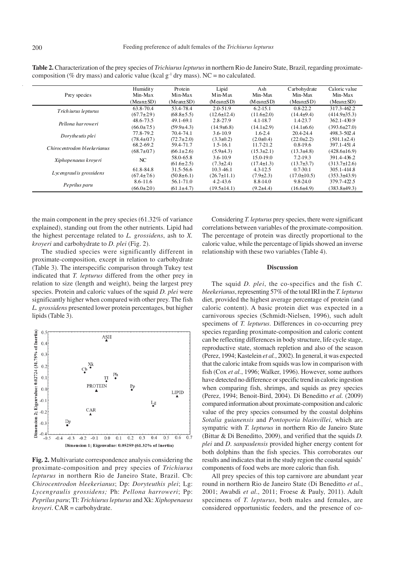| Prey species                 | Humidit y<br>Min-Max | Protein<br>Min-Max | Lipid<br>Min-Max  | Ash<br>Min-Max    | Carbohydrate<br>Min-Max | Caloric value<br>Min-Max |
|------------------------------|----------------------|--------------------|-------------------|-------------------|-------------------------|--------------------------|
|                              | $(Mean \pm SD)$      | $(Mean \pm SD)$    | $(Mean \pm SD)$   | $(M$ ean $\pm SD$ | $(Mean \pm SD)$         | $(Mean \pm SD)$          |
| Trich iurus lepturus         | 63.8-70.4            | 53.4-78.4          | $2.0 - 51.9$      | $6.2 - 15.1$      | $0.8 - 22.2$            | 317.3-462.2              |
|                              | $(67.7 \pm 29)$      | $(68.8 \pm 5.5)$   | $(12.6 \pm 12.4)$ | $(11.6 \pm 2.0)$  | $(14.4\pm9.4)$          | $(414.9 \pm 35.3)$       |
| Pellona harroweri            | 48.6-73.5            | 49.1-69.1          | $2.8 - 27.9$      | $4.1 - 18.7$      | 1.4-23.7                | 362.1-430.9              |
|                              | $(66.0 \pm 7.5)$     | $(59.9 \pm 4.3)$   | $(14.9 \pm 6.8)$  | $(14.1 \pm 2.9)$  | $(14.1\pm 6.6)$         | $(393.6 \pm 27.0)$       |
| Dorytheutis plei             | 77.8-79.2            | 70.4-74.1          | $3.6 - 10.9$      | $1.6 - 2.4$       | 20.4-24.4               | 498.3-502.4              |
|                              | $(78.4 \pm 0.7)$     | $(72.7 \pm 2.0)$   | $(3.3 \pm 0.2)$   | $(2.0 \pm 0.4)$   | $(22.0 \pm 2.2)$        | $(501.1 \pm 2.4)$        |
| Chirocentrodon bleeke rianus | 68.2-69.2            | 59.4-71.7          | $1,5-16,1$        | 11.7-21.2         | $0.8 - 19.6$            | 397.1-451.4              |
|                              | $(68.7 \pm 0.7)$     | $(66.1 \pm 2.6)$   | $(5.9\pm4.3)$     | $(15.3 \pm 2.1)$  | $(13.3\pm4.8)$          | $(428.6 \pm 16.9)$       |
| Xiphopenaeus kroyeri         | NC                   | 58.0-65.8          | $3.6 - 10.9$      | 15.0-19.0         | $7.2 - 19.3$            | 391.4-4362               |
|                              |                      | $(61.6 \pm 2.5)$   | $(7.3 \pm 2.4)$   | $(17.4 \pm 1.3)$  | $(13.7\pm3.7)$          | $(313.7 \pm 12.6)$       |
| Lycengraul is grossidens     | 61.8-84.8            | 31.5-56.6          | $10.3 - 46.1$     | $4.3 - 12.5$      | $0.7 - 30.1$            | 305.1-414.8              |
|                              | $(67.4 \pm 7.6)$     | $(50.8 \pm 6.1)$   | $(26.7 \pm 11.1)$ | $(7.9 \pm 2.3)$   | $(17.0 \pm 10.5)$       | $(353.3\pm 43.9)$        |
| Peprilus paru                | $8.6 - 11.6$         | 56.1-71.0          | $42 - 43.6$       | 8.8-14.0          | 9.8-24.0                | 379.7-422.5              |
|                              | $(66.0 \pm 2.0)$     | $(61.1 \pm 4.7)$   | $(19.5 \pm 14.1)$ | $(9.2\pm4.4)$     | (16.6±4.9)              | $(383.8\pm49.3)$         |

**Table 2.** Characterization of the prey species of *Trichiurus lepturus* in northern Rio de Janeiro State, Brazil, regarding proximatecomposition (% dry mass) and caloric value (kcal  $g^{-1}$  dry mass). NC = no calculated.

the main component in the prey species (61.32% of variance explained), standing out from the other nutrients. Lipid had the highest percentage related to *L. grossidens*, ash to *X. kroyeri* and carbohydrate to *D. plei* (Fig. 2).

The studied species were significantly different in proximate-composition, except in relation to carbohydrate (Table 3). The interspecific comparison through Tukey test indicated that *T. lepturus* differed from the other prey in relation to size (length and weight), being the largest prey species. Protein and caloric values of the squid *D. plei* were significantly higher when compared with other prey. The fish *L. grossidens* presented lower protein percentages, but higher lipids (Table 3).



**Fig. 2.** Multivariate correspondence analysis considering the proximate-composition and prey species of *Trichiurus lepturus* in northern Rio de Janeiro State, Brazil. Cb: *Chirocentrodon bleekerianus*; Dp: *Doryteuthis plei*; Lg: *Lycengraulis grossidens;* Ph: *Pellona harroweri*; Pp: *Peprilus paru*; Tl: *Trichiurus lepturus* and Xk: *Xiphopenaeus kroyeri*. CAR = carbohydrate.

Considering *T. lepturus* prey species, there were significant correlations between variables of the proximate-composition. The percentage of protein was directly proportional to the caloric value, while the percentage of lipids showed an inverse relationship with these two variables (Table 4).

# **Discussion**

The squid *D. plei*, the co-specifics and the fish *C. bleekerianus*, representing 57% of the total IRI in the *T. lepturus* diet, provided the highest average percentage of protein (and caloric content). A basic protein diet was expected in a carnivorous species (Schmidt-Nielsen, 1996), such adult specimens of *T. lepturus*. Differences in co-occurring prey species regarding proximate-composition and caloric content can be reflecting differences in body structure, life cycle stage, reproductive state, stomach repletion and also of the season (Perez, 1994; Kastelein *et al.*, 2002). In general, it was expected that the caloric intake from squids was low in comparison with fish (Cox *et al.*, 1996; Walker, 1996). However, some authors have detected no difference or specific trend in caloric ingestion when comparing fish, shrimps, and squids as prey species (Perez, 1994; Benoit-Bird, 2004). Di Beneditto *et al.* (2009) compared information about proximate-composition and caloric value of the prey species consumed by the coastal dolphins *Sotalia guianensis* and *Pontoporia blainvillei*, which are sympatric with *T. lepturus* in northern Rio de Janeiro State (Bittar & Di Beneditto, 2009), and verified that the squids *D. plei* and *D*. *sanpaulensis* provided higher energy content for both dolphins than the fish species. This corroborates our results and indicates that in the study region the coastal squids' components of food webs are more caloric than fish.

All prey species of this top carnivore are abundant year round in northern Rio de Janeiro State (Di Beneditto *et al.*, 2001; Awabdi *et al*., 2011; Froese & Pauly, 2011). Adult specimens of *T. lepturus*, both males and females, are considered opportunistic feeders, and the presence of co-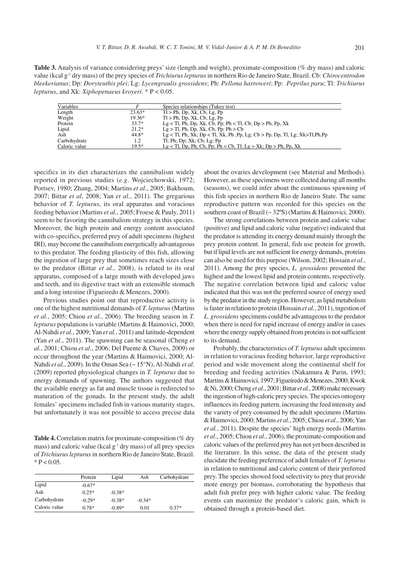**Table 3.** Analysis of variance considering preys' size (length and weight), proximate-composition (% dry mass) and caloric value (kcal g-1 dry mass) of the prey species of *Trichiurus lepturus* in northern Rio de Janeiro State, Brazil. Cb: *Chirocentrodon bleekerianus*; Dp: *Doryteuthis plei*; Lg: *Lycengraulis grossidens*; Ph: *Pellona harroweri*; Pp: *Peprilus paru*; Tl: *Trichiurus lepturus*, and Xk: *Xiphopenaeus kroyeri*. \* P < 0.05.

| <b>Variables</b> |          | Species relationships (Tukey test)                                                         |
|------------------|----------|--------------------------------------------------------------------------------------------|
| Length           | $23.63*$ | $Tl > Ph$ , Dp, Xk, Cb, Lg, Pp                                                             |
| Weight           | $19.36*$ | $Tl > Ph$ , Dp, Xk, Cb, Lg, Pp                                                             |
| Protein          | $33.7*$  | $Lg < Tl$ , Ph, Dp, Xk, Cb, Pp; Ph $< Tl$ , Cb; Dp $> Ph$ , Pp, Xk                         |
| Lipid            | $21.2*$  | $Lg > Tl$ , Ph, Dp, Xk, Cb, Pp; Ph $> Cb$                                                  |
| Ash              | 44.8*    | $Lg < Tl$ , Ph, Xk; Dp $< Tl$ , Xk, Ph, Pp, Lg; Cb $> Pp$ , Dp, Tl, Lg; Xk $> Tl$ , Ph, Pp |
| Carbohydrate     | 1.2      | $Tl$ ; Ph; Dp; Xk; Cb; Lg; Pp                                                              |
| Caloric value    | $19.5*$  | $Lg < Tl$ , Dp, Ph, Cb, Pp; Ph $<$ Cb, Tl; $Lg > Xk$ ; Dp $>$ Ph, Pp, Xk                   |

specifics in its diet characterizes the cannibalism widely reported in previous studies (*e.g*. Wojciechowski, 1972; Portsev, 1980; Zhang, 2004; Martins *et al.*, 2005; Bakhoum, 2007; Bittar *et al*, 2008; Yan *et al.*, 2011). The gregarious behavior of *T. lepturus*, its oral apparatus and voracious feeding behavior (Martins *et al.*, 2005; Froese & Pauly, 2011) seem to be favoring the cannibalism strategy in this species. Moreover, the high protein and energy content associated with co-specifics, preferred prey of adult specimens (highest IRI), may become the cannibalism energetically advantageous to this predator. The feeding plasticity of this fish, allowing the ingestion of large prey that sometimes reach sizes close to the predator (Bittar *et al.*, 2008), is related to its oral apparatus, composed of a large mouth with developed jaws and teeth, and its digestive tract with an extensible stomach and a long intestine (Figueiredo & Menezes, 2000).

Previous studies point out that reproductive activity is one of the highest nutritional demands of *T. lepturus* (Martins *et al.*, 2005; Chiou *et al.*, 2006). The breeding season in *T. lepturus* populations is variable (Martins & Haimovici, 2000; Al-Nahdi *et al.*, 2009; Yan *et al.*, 2011) and latitude-dependent (Yan *et al.*, 2011). The spawning can be seasonal (Cheng *et al.*, 2001; Chiou *et al*., 2006; Del Puente & Chaves, 2009) or occur throughout the year (Martins & Haimovici, 2000; Al-Nahdi *et al.*, 2009). In the Oman Sea (~ 15°N), Al-Nahdi *et al.* (2009) reported physiological changes in *T. lepturus* due to energy demands of spawning. The authors suggested that the available energy as fat and muscle tissue is redirected to maturation of the gonads. In the present study, the adult females' specimens included fish in various maturity stages, but unfortunately it was not possible to access precise data

**Table 4.** Correlation matrix for proximate-composition (% dry mass) and caloric value (kcal  $g^{-1}$  dry mass) of all prey species of *Trichiurus lepturus* in northern Rio de Janeiro State, Brazil.  $* P < 0.05$ .

|               | Protein  | Lipid    | Ash      | Carbohydrate |
|---------------|----------|----------|----------|--------------|
| Lipid         | $-0.67*$ |          |          |              |
| Ash           | $0.25*$  | $-0.38*$ |          |              |
| Carbohydrate  | $-0.29*$ | $-0.38*$ | $-0.34*$ |              |
| Caloric value | $0.78*$  | $-0.89*$ | 0.01     | $0.37*$      |

about the ovaries development (see Material and Methods). However, as these specimens were collected during all months (seasons), we could infer about the continuous spawning of this fish species in northern Rio de Janeiro State. The same reproductive pattern was recorded for this species on the southern coast of Brazil (~ 32ºS) (Martins & Haimovici, 2000).

The strong correlations between protein and caloric value (positive) and lipid and caloric value (negative) indicated that the predator is attending its energy demand mainly through the prey protein content. In general, fish use protein for growth, but if lipid levels are not sufficient for energy demands, proteins can also be used for this purpose (Wilson, 2002; Hossain *et al.*, 2011). Among the prey species, *L. grossidens* presented the highest and the lowest lipid and protein contents, respectively. The negative correlation between lipid and caloric value indicated that this was not the preferred source of energy used by the predator in the study region. However, as lipid metabolism is faster in relation to protein (Hossain *et al.*, 2011), ingestion of *L. grossidens* specimens could be advantageous to the predator when there is need for rapid increase of energy and/or in cases where the energy supply obtained from proteins is not sufficient to its demand.

Probably, the characteristics of *T. lepturus* adult specimens in relation to voracious feeding behavior, large reproductive period and wide movement along the continental shelf for breeding and feeding activities (Nakamura & Parin, 1993; Martins & Haimovici, 1997; Figueiredo & Menezes, 2000; Kwok & Ni, 2000; Cheng *et al*., 2001; Bittar *et al.*, 2008) make necessary the ingestion of high-caloric prey species. The species ontogeny influences its feeding pattern, increasing the feed intensity and the variety of prey consumed by the adult specimens (Martins & Haimovici, 2000; Martins *et al.*, 2005; Chiou *et al*., 2006; Yan *et al.*, 2011). Despite the species' high energy needs (Martins *et al*., 2005; Chiou *et al.*, 2006), the proximate-composition and caloric values of the preferred prey has not yet been described in the literature. In this sense, the data of the present study elucidate the feeding preference of adult females of *T. lepturus* in relation to nutritional and caloric content of their preferred prey. The species showed food selectivity to prey that provide more energy per biomass, corroborating the hypothesis that adult fish prefer prey with higher caloric value. The feeding events can maximize the predator's caloric gain, which is obtained through a protein-based diet.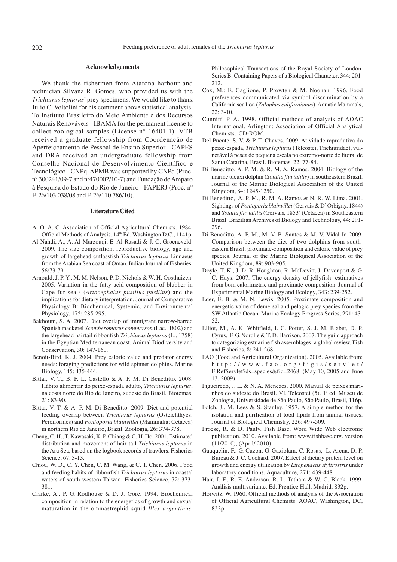#### **Acknowledgements**

We thank the fishermen from Atafona harbour and technician Silvana R. Gomes, who provided us with the *Trichiurus lepturus*' prey specimens. We would like to thank Julio C. Voltolini for his comment above statistical analysis. To Instituto Brasileiro do Meio Ambiente e dos Recursos Naturais Renováveis - IBAMA for the permanent license to collect zoological samples (License n° 16401-1). VTB received a graduate fellowship from Coordenação de Aperfeiçoamento de Pessoal de Ensino Superior - CAPES and DRA received an undergraduate fellowship from Conselho Nacional de Desenvolvimento Científico e Tecnológico - CNPq. APMB was supported by CNPq (Proc. nº 300241/09-7 and nº470002/10-7) and Fundação de Amparo à Pesquisa do Estado do Rio de Janeiro - FAPERJ (Proc. nº E-26/103.038/08 and E-26/110.786/10).

#### **Literature Cited**

- A. O. A. C. Association of Official Agricultural Chemists. 1984. Official Methods of Analysis. 14th Ed. Washington D.C., 1141p.
- Al-Nahdi, A., A. Al-Marzouqi, E. Al-Rasadi & J. C. Groeneveld. 2009. The size composition, reproductive biology, age and growth of largehead cutlassfish *Trichiurus lepturus* Linnaeus from the Arabian Sea coast of Oman. Indian Journal of Fisheries, 56:73-79.
- Arnould, J. P. Y., M. M. Nelson, P. D. Nichols & W. H. Oosthuizen. 2005. Variation in the fatty acid composition of blubber in Cape fur seals (*Artocephalus pusillus pusillus*) and the implications for dietary interpretation. Journal of Comparative Physiology B: Biochemical, Systemic, and Environmental Physiology, 175: 285-295.
- Bakhoum, S. A. 2007. Diet overlap of immigrant narrow-barred Spanish mackerel *Scomberomorus commerson* (Lac., 1802) and the largehead hairtail ribbonfish *Trichiurus lepturus* (L., 1758) in the Egyptian Mediterranean coast. Animal Biodiversity and Conservation, 30: 147-160.
- Benoit-Bird, K. J. 2004. Prey caloric value and predator energy needs: foraging predictions for wild spinner dolphins. Marine Biology, 145: 435-444.
- Bittar, V. T., B. F. L. Castello & A. P. M. Di Beneditto. 2008. Hábito alimentar do peixe-espada adulto, *Trichiurus lepturus*, na costa norte do Rio de Janeiro, sudeste do Brasil. Biotemas, 21: 83-90.
- Bittar, V. T. & A. P. M. Di Beneditto. 2009. Diet and potential feeding overlap between *Trichiurus lepturus* (Osteichthyes: Perciformes) and *Pontoporia blainvillei* (Mammalia: Cetacea) in northern Rio de Janeiro, Brazil. Zoologia, 26: 374-378.
- Cheng, C. H., T. Kawasaki, K. P. Chiang & C. H. Ho. 2001. Estimated distribution and movement of hair tail *Trichiurus lepturus* in the Aru Sea, based on the logbook records of trawlers. Fisheries Science, 67: 3-13.
- Chiou, W. D., C. Y. Chen, C. M. Wang, & C. T. Chen. 2006. Food and feeding habits of ribbonfish *Trichiurus lepturus* in coastal waters of south-western Taiwan. Fisheries Science, 72: 373- 381.
- Clarke, A., P. G. Rodhouse & D. J. Gore. 1994. Biochemical composition in relation to the energetics of growth and sexual maturation in the ommastrephid squid *Illex argentinus*.

Philosophical Transactions of the Royal Society of London. Series B, Containing Papers of a Biological Character, 344: 201- 212.

- Cox, M.; E. Gaglione, P. Prowten & M. Noonan. 1996. Food preferences communicated via symbol discrimination by a California sea lion (*Zalophus californianus*). Aquatic Mammals, 22: 3-10.
- Cunniff, P. A. 1998. Official methods of analysis of AOAC International. Arlington: Association of Official Analytical Chemists. CD-ROM.
- Del Puente, S. V. & P. T. Chaves. 2009. Atividade reprodutiva do peixe-espada, *Trichiurus lepturus* (Teleostei, Trichiuridae), vulnerável à pesca de pequena escala no extremo-norte do litoral de Santa Catarina, Brasil. Biotemas, 22: 77-84.
- Di Beneditto, A. P. M. & R. M. A. Ramos. 2004. Biology of the marine tucuxi dolphin (*Sotalia fluviatilis*) in southeastern Brazil. Journal of the Marine Biological Association of the United Kingdom, 84: 1245-1250.
- Di Beneditto, A. P. M., R. M. A. Ramos & N. R. W. Lima. 2001. Sightings of *Pontoporia blainvillei* (Gervais & D' Orbigny, 1844) and *Sotalia fluviatilis* (Gervais, 1853) (Cetacea) in Southeastern Brazil. Brazilian Archives of Biology and Technology, 44: 291- 296.
- Di Beneditto, A. P. M., M. V. B. Santos & M. V. Vidal Jr. 2009. Comparison between the diet of two dolphins from southeastern Brazil: proximate-composition and caloric value of prey species. Journal of the Marine Biological Association of the United Kingdom, 89: 903-905.
- Doyle, T. K., J. D. R. Houghton, R. McDevitt, J. Davenport & G. C. Hays. 2007. The energy density of jellyfish: estimatives from bom calorimetric and proximate-composition. Journal of Experimental Marine Biology and Ecology, 343: 239-252.
- Eder, E. B. & M. N. Lewis. 2005. Proximate composition and energetic value of demersal and pelagic prey species from the SW Atlantic Ocean. Marine Ecology Progress Series, 291: 43- 52.
- Elliot, M., A. K. Whitfield, I. C. Potter, S. J. M. Blaber, D. P. Cyrus, F. G. Nordlie & T. D. Harrison. 2007. The guild approach to categorizing estuarine fish assemblages: a global review. Fish and Fisheries, 8: 241-268.
- FAO (Food and Agricultural Organization). 2005. Available from: http://www.fao.org/figis/servlet/ FiRefServlet?ds=species&fid=2468. (May 10, 2005 and June 13, 2009).
- Figueiredo, J. L. & N. A. Menezes. 2000. Manual de peixes marinhos do sudeste do Brasil. VI. Teleostei (5). 1ª ed. Museu de Zoologia, Universidade de São Paulo, São Paulo, Brasil, 116p.
- Folch, J., M. Lees & S. Stanley. 1957. A simple method for the isolation and purification of total lipids from animal tissues. Journal of Biological Chemistry, 226: 497-509.
- Froese, R. & D. Pauly. Fish Base. Word Wide Web electronic publication. 2010. Available from: www.fishbase.org. version (11/2010), (April/ 2010).
- Gauquelin, F., G. Cuzon, G. Gaxiolam, C. Rosas, L. Arena, D. P. Bureau & J. C. Cochard. 2007. Effect of dietary protein level on growth and energy utilization by *Litopenaeus stylirostris* under laboratory conditions. Aquaculture, 271: 439-448.
- Hair, J. F., R. E. Anderson, R. L. Tatham & W. C. Black. 1999. Análisis multivariante. Ed. Prentice Hall, Madrid, 832p.
- Horwitz, W. 1960. Official methods of analysis of the Association of Official Agricultural Chemists. AOAC, Washington, DC, 832p.